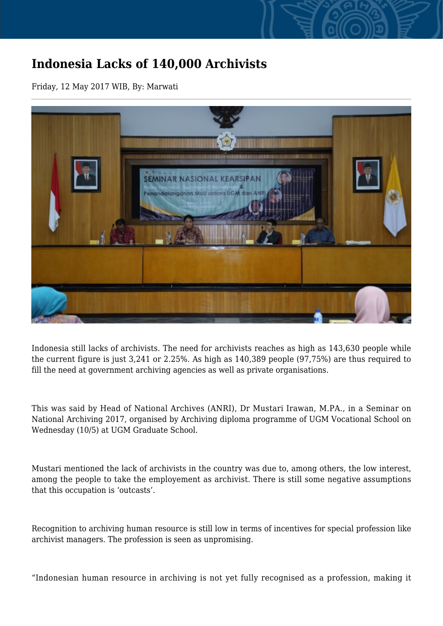## **Indonesia Lacks of 140,000 Archivists**

## Friday, 12 May 2017 WIB, By: Marwati



Indonesia still lacks of archivists. The need for archivists reaches as high as 143,630 people while the current figure is just 3,241 or 2.25%. As high as 140,389 people (97,75%) are thus required to fill the need at government archiving agencies as well as private organisations.

This was said by Head of National Archives (ANRI), Dr Mustari Irawan, M.PA., in a Seminar on National Archiving 2017, organised by Archiving diploma programme of UGM Vocational School on Wednesday (10/5) at UGM Graduate School.

Mustari mentioned the lack of archivists in the country was due to, among others, the low interest, among the people to take the employement as archivist. There is still some negative assumptions that this occupation is 'outcasts'.

Recognition to archiving human resource is still low in terms of incentives for special profession like archivist managers. The profession is seen as unpromising.

"Indonesian human resource in archiving is not yet fully recognised as a profession, making it